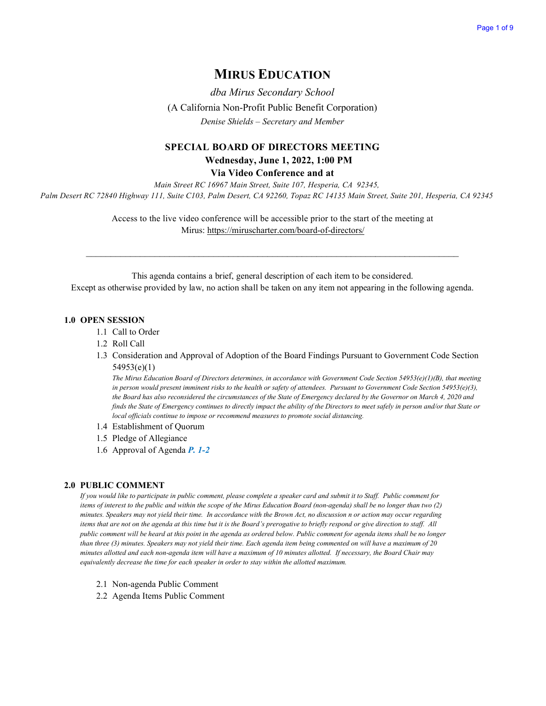## **MIRUS EDUCATION**

*dba Mirus Secondary School* (A California Non-Profit Public Benefit Corporation) *Denise Shields – Secretary and Member*

## **SPECIAL BOARD OF DIRECTORS MEETING Wednesday, June 1, 2022, 1:00 PM**

**Via Video Conference and at**

*Main Street RC 16967 Main Street, Suite 107, Hesperia, CA 92345, Palm Desert RC 72840 Highway 111, Suite C103, Palm Desert, CA 92260, Topaz RC 14135 Main Street, Suite 201, Hesperia, CA 92345* 

> Access to the live video conference will be accessible prior to the start of the meeting at Mirus:<https://miruscharter.com/board-of-directors/>

 $\_$  , and the contribution of the contribution of the contribution of the contribution of  $\mathcal{L}_\text{max}$ 

This agenda contains a brief, general description of each item to be considered. Except as otherwise provided by law, no action shall be taken on any item not appearing in the following agenda.

#### **1.0 OPEN SESSION**

- 1.1 Call to Order
- 1.2 Roll Call
- 1.3 Consideration and Approval of Adoption of the Board Findings Pursuant to Government Code Section 54953(e)(1)

*The Mirus Education Board of Directors determines, in accordance with Government Code Section 54953(e)(1)(B), that meeting in person would present imminent risks to the health or safety of attendees. Pursuant to Government Code Section 54953(e)(3), the Board has also reconsidered the circumstances of the State of Emergency declared by the Governor on March 4, 2020 and finds the State of Emergency continues to directly impact the ability of the Directors to meet safely in person and/or that State or local officials continue to impose or recommend measures to promote social distancing.*

- 1.4 Establishment of Quorum
- 1.5 Pledge of Allegiance
- 1.6 Approval of Agenda *P. 1-2*

### **2.0 PUBLIC COMMENT**

*If you would like to participate in public comment, please complete a speaker card and submit it to Staff. Public comment for items of interest to the public and within the scope of the Mirus Education Board (non-agenda) shall be no longer than two (2) minutes. Speakers may not yield their time. In accordance with the Brown Act, no discussion n or action may occur regarding items that are not on the agenda at this time but it is the Board's prerogative to briefly respond or give direction to staff. All public comment will be heard at this point in the agenda as ordered below. Public comment for agenda items shall be no longer than three (3) minutes. Speakers may not yield their time. Each agenda item being commented on will have a maximum of 20 minutes allotted and each non-agenda item will have a maximum of 10 minutes allotted. If necessary, the Board Chair may equivalently decrease the time for each speaker in order to stay within the allotted maximum.*

- 2.1 Non-agenda Public Comment
- 2.2 Agenda Items Public Comment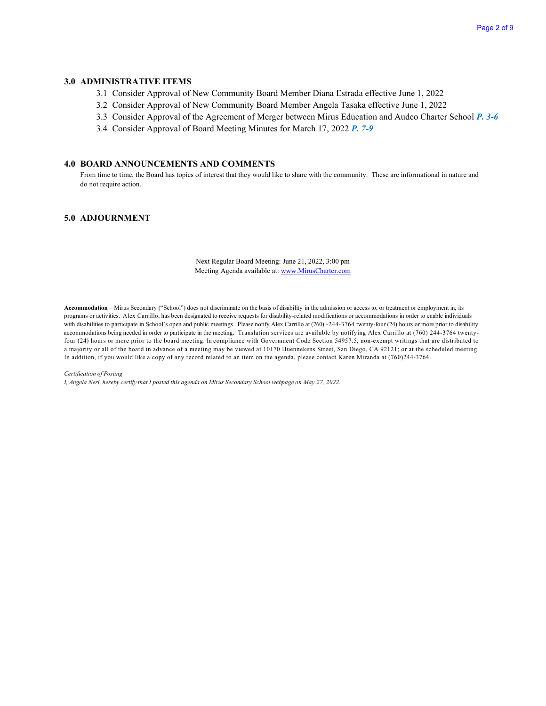### **3.0 ADMINISTRATIVE ITEMS**

- 3.1 Consider Approval of New Community Board Member Diana Estrada effective June 1, 2022
- 3.2 Consider Approval of New Community Board Member Angela Tasaka effective June 1, 2022
- 3.3 Consider Approval of the Agreement of Merger between Mirus Education and Audeo Charter School *P. 3-6*
- 3.4 Consider Approval of Board Meeting Minutes for March 17, 2022 *P. 7-9*

#### **4.0 BOARD ANNOUNCEMENTS AND COMMENTS**

From time to time, the Board has topics of interest that they would like to share with the community. These are informational in nature and do not require action.

### **5.0 ADJOURNMENT**

Next Regular Board Meeting: June 21, 2022, 3:00 pm Meeting Agenda available at[: www.MirusCharter.com](http://www.miruscharter.com/)

**Accommodation** – Mirus Secondary ("School") does not discriminate on the basis of disability in the admission or access to, or treatment or employment in, its programs or activities. Alex Carrillo, has been designated to receive requests for disability-related modifications or accommodations in order to enable individuals with disabilities to participate in School's open and public meetings. Please notify Alex Carrillo at (760) -244-3764 twenty-four (24) hours or more prior to disability accommodations being needed in order to participate in the meeting. Translation services are available by notifying Alex Carrillo at (760) 244-3764 twentyfour (24) hours or more prior to the board meeting. In compliance with Government Code Section 54957.5, non-exempt writings that are distributed to a majority or all of the board in advance of a meeting may be viewed at 10170 Huennekens Street, San Diego, CA 92121; or at the scheduled meeting. In addition, if you would like a copy of any record related to an item on the agenda, please contact Karen Miranda at (760)244-3764.

#### *Certification of Posting*

*I, Angela Neri, hereby certify that I posted this agenda on Mirus Secondary School webpage on May 27, 2022.*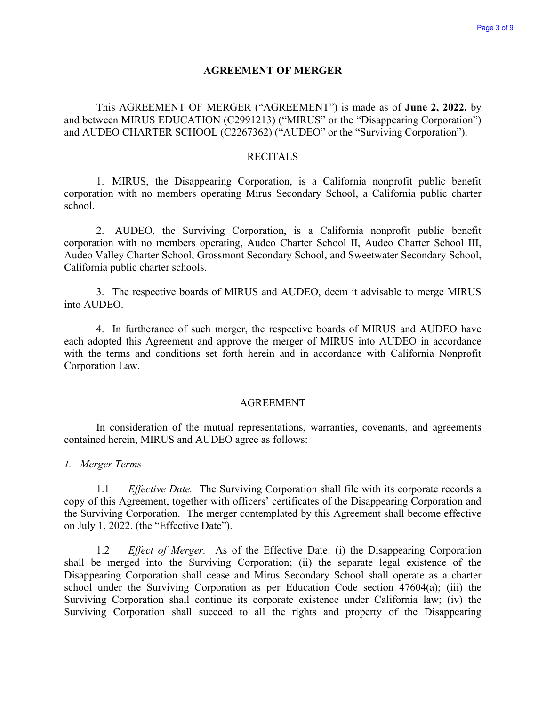## **AGREEMENT OF MERGER**

This AGREEMENT OF MERGER ("AGREEMENT") is made as of **June 2, 2022,** by and between MIRUS EDUCATION (C2991213) ("MIRUS" or the "Disappearing Corporation") and AUDEO CHARTER SCHOOL (C2267362) ("AUDEO" or the "Surviving Corporation").

## **RECITALS**

1. MIRUS, the Disappearing Corporation, is a California nonprofit public benefit corporation with no members operating Mirus Secondary School, a California public charter school.

2. AUDEO, the Surviving Corporation, is a California nonprofit public benefit corporation with no members operating, Audeo Charter School II, Audeo Charter School III, Audeo Valley Charter School, Grossmont Secondary School, and Sweetwater Secondary School, California public charter schools.

3. The respective boards of MIRUS and AUDEO, deem it advisable to merge MIRUS into AUDEO.

4. In furtherance of such merger, the respective boards of MIRUS and AUDEO have each adopted this Agreement and approve the merger of MIRUS into AUDEO in accordance with the terms and conditions set forth herein and in accordance with California Nonprofit Corporation Law.

## AGREEMENT

In consideration of the mutual representations, warranties, covenants, and agreements contained herein, MIRUS and AUDEO agree as follows:

### *1. Merger Terms*

1.1 *Effective Date.* The Surviving Corporation shall file with its corporate records a copy of this Agreement, together with officers' certificates of the Disappearing Corporation and the Surviving Corporation. The merger contemplated by this Agreement shall become effective on July 1, 2022. (the "Effective Date").

1.2 *Effect of Merger.* As of the Effective Date: (i) the Disappearing Corporation shall be merged into the Surviving Corporation; (ii) the separate legal existence of the Disappearing Corporation shall cease and Mirus Secondary School shall operate as a charter school under the Surviving Corporation as per Education Code section 47604(a); (iii) the Surviving Corporation shall continue its corporate existence under California law; (iv) the Surviving Corporation shall succeed to all the rights and property of the Disappearing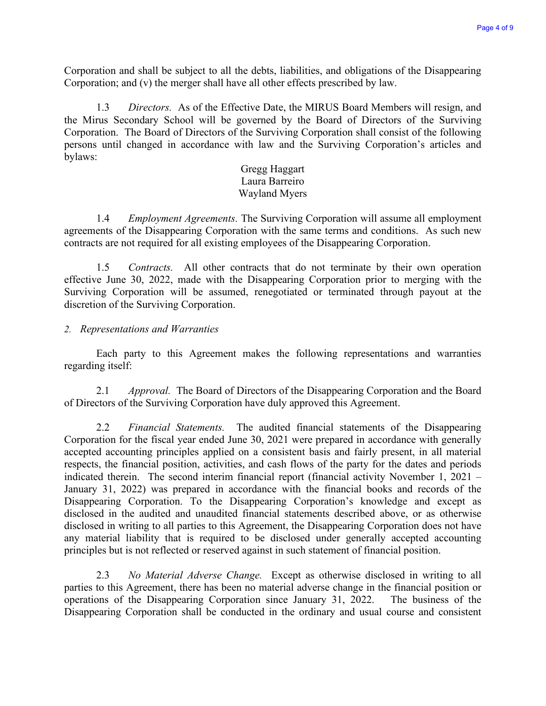Corporation and shall be subject to all the debts, liabilities, and obligations of the Disappearing Corporation; and (v) the merger shall have all other effects prescribed by law.

1.3 *Directors.* As of the Effective Date, the MIRUS Board Members will resign, and the Mirus Secondary School will be governed by the Board of Directors of the Surviving Corporation. The Board of Directors of the Surviving Corporation shall consist of the following persons until changed in accordance with law and the Surviving Corporation's articles and bylaws:

## Gregg Haggart Laura Barreiro Wayland Myers

1.4 *Employment Agreements.* The Surviving Corporation will assume all employment agreements of the Disappearing Corporation with the same terms and conditions. As such new contracts are not required for all existing employees of the Disappearing Corporation.

1.5 *Contracts.* All other contracts that do not terminate by their own operation effective June 30, 2022, made with the Disappearing Corporation prior to merging with the Surviving Corporation will be assumed, renegotiated or terminated through payout at the discretion of the Surviving Corporation.

## *2. Representations and Warranties*

Each party to this Agreement makes the following representations and warranties regarding itself:

2.1 *Approval.* The Board of Directors of the Disappearing Corporation and the Board of Directors of the Surviving Corporation have duly approved this Agreement.

2.2 *Financial Statements.* The audited financial statements of the Disappearing Corporation for the fiscal year ended June 30, 2021 were prepared in accordance with generally accepted accounting principles applied on a consistent basis and fairly present, in all material respects, the financial position, activities, and cash flows of the party for the dates and periods indicated therein. The second interim financial report (financial activity November 1, 2021 – January 31, 2022) was prepared in accordance with the financial books and records of the Disappearing Corporation. To the Disappearing Corporation's knowledge and except as disclosed in the audited and unaudited financial statements described above, or as otherwise disclosed in writing to all parties to this Agreement, the Disappearing Corporation does not have any material liability that is required to be disclosed under generally accepted accounting principles but is not reflected or reserved against in such statement of financial position.

2.3 *No Material Adverse Change.* Except as otherwise disclosed in writing to all parties to this Agreement, there has been no material adverse change in the financial position or operations of the Disappearing Corporation since January 31, 2022. The business of the Disappearing Corporation shall be conducted in the ordinary and usual course and consistent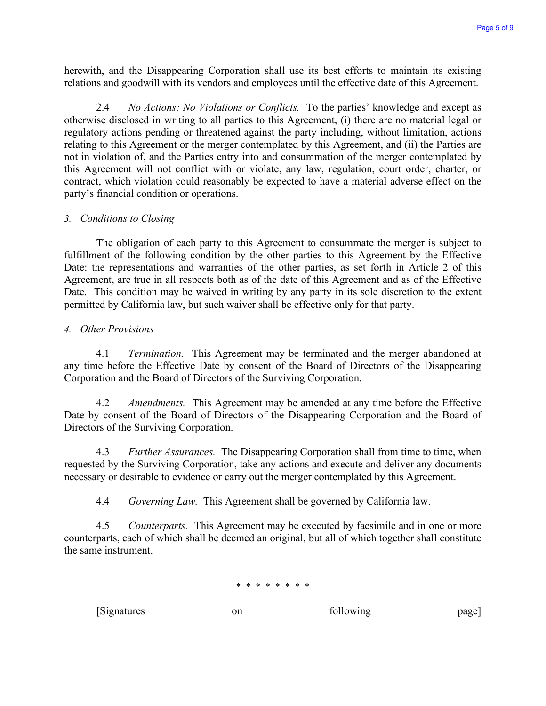herewith, and the Disappearing Corporation shall use its best efforts to maintain its existing relations and goodwill with its vendors and employees until the effective date of this Agreement.

2.4 *No Actions; No Violations or Conflicts.* To the parties' knowledge and except as otherwise disclosed in writing to all parties to this Agreement, (i) there are no material legal or regulatory actions pending or threatened against the party including, without limitation, actions relating to this Agreement or the merger contemplated by this Agreement, and (ii) the Parties are not in violation of, and the Parties entry into and consummation of the merger contemplated by this Agreement will not conflict with or violate, any law, regulation, court order, charter, or contract, which violation could reasonably be expected to have a material adverse effect on the party's financial condition or operations.

## *3. Conditions to Closing*

The obligation of each party to this Agreement to consummate the merger is subject to fulfillment of the following condition by the other parties to this Agreement by the Effective Date: the representations and warranties of the other parties, as set forth in Article 2 of this Agreement, are true in all respects both as of the date of this Agreement and as of the Effective Date. This condition may be waived in writing by any party in its sole discretion to the extent permitted by California law, but such waiver shall be effective only for that party.

## *4. Other Provisions*

4.1 *Termination.* This Agreement may be terminated and the merger abandoned at any time before the Effective Date by consent of the Board of Directors of the Disappearing Corporation and the Board of Directors of the Surviving Corporation.

4.2 *Amendments.* This Agreement may be amended at any time before the Effective Date by consent of the Board of Directors of the Disappearing Corporation and the Board of Directors of the Surviving Corporation.

4.3 *Further Assurances.* The Disappearing Corporation shall from time to time, when requested by the Surviving Corporation, take any actions and execute and deliver any documents necessary or desirable to evidence or carry out the merger contemplated by this Agreement.

4.4 *Governing Law.* This Agreement shall be governed by California law.

4.5 *Counterparts.* This Agreement may be executed by facsimile and in one or more counterparts, each of which shall be deemed an original, but all of which together shall constitute the same instrument.

### \* \* \* \* \* \* \* \*

[Signatures on on following page]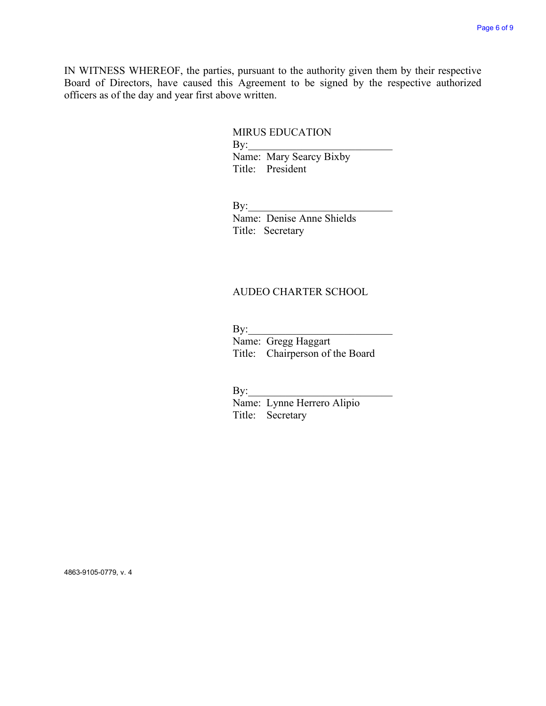IN WITNESS WHEREOF, the parties, pursuant to the authority given them by their respective Board of Directors, have caused this Agreement to be signed by the respective authorized officers as of the day and year first above written.

## MIRUS EDUCATION

 $\mathbf{By:}$ Name: Mary Searcy Bixby Title: President

 $\mathbf{By:}$ 

Name: Denise Anne Shields Title: Secretary

## AUDEO CHARTER SCHOOL

 $\mathbf{By:}$ 

Name: Gregg Haggart Title: Chairperson of the Board

 $\mathbf{By:}$ 

Name: Lynne Herrero Alipio Title: Secretary

4863-9105-0779, v. 4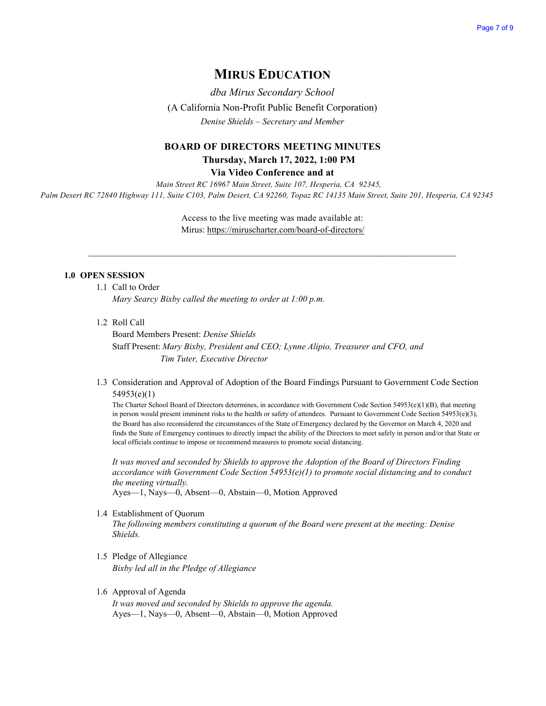## **MIRUS EDUCATION**

*dba Mirus Secondary School*  (A California Non-Profit Public Benefit Corporation) *Denise Shields – Secretary and Member*

# **BOARD OF DIRECTORS MEETING MINUTES Thursday, March 17, 2022, 1:00 PM**

**Via Video Conference and at**

*Main Street RC 16967 Main Street, Suite 107, Hesperia, CA 92345, Palm Desert RC 72840 Highway 111, Suite C103, Palm Desert, CA 92260, Topaz RC 14135 Main Street, Suite 201, Hesperia, CA 92345* 

> Access to the live meeting was made available at: Mirus:<https://miruscharter.com/board-of-directors/>

 $\_$  , and the contribution of the contribution of the contribution of the contribution of  $\mathcal{L}_\text{max}$ 

### **1.0 OPEN SESSION**

- 1.1 Call to Order *Mary Searcy Bixby called the meeting to order at 1:00 p.m.*
- 1.2 Roll Call

Board Members Present: *Denise Shields*  Staff Present: *Mary Bixby, President and CEO; Lynne Alipio, Treasurer and CFO, and Tim Tuter, Executive Director*

1.3 Consideration and Approval of Adoption of the Board Findings Pursuant to Government Code Section 54953(e)(1)

The Charter School Board of Directors determines, in accordance with Government Code Section 54953(e)(1)(B), that meeting in person would present imminent risks to the health or safety of attendees. Pursuant to Government Code Section 54953(e)(3), the Board has also reconsidered the circumstances of the State of Emergency declared by the Governor on March 4, 2020 and finds the State of Emergency continues to directly impact the ability of the Directors to meet safely in person and/or that State or local officials continue to impose or recommend measures to promote social distancing.

*It was moved and seconded by Shields to approve the Adoption of the Board of Directors Finding accordance with Government Code Section 54953(e)(1) to promote social distancing and to conduct the meeting virtually.* 

Ayes—1, Nays—0, Absent—0, Abstain—0, Motion Approved

1.4 Establishment of Quorum

*The following members constituting a quorum of the Board were present at the meeting: Denise Shields.* 

- 1.5 Pledge of Allegiance *Bixby led all in the Pledge of Allegiance*
- 1.6 Approval of Agenda

*It was moved and seconded by Shields to approve the agenda.*  Ayes—1, Nays—0, Absent—0, Abstain—0, Motion Approved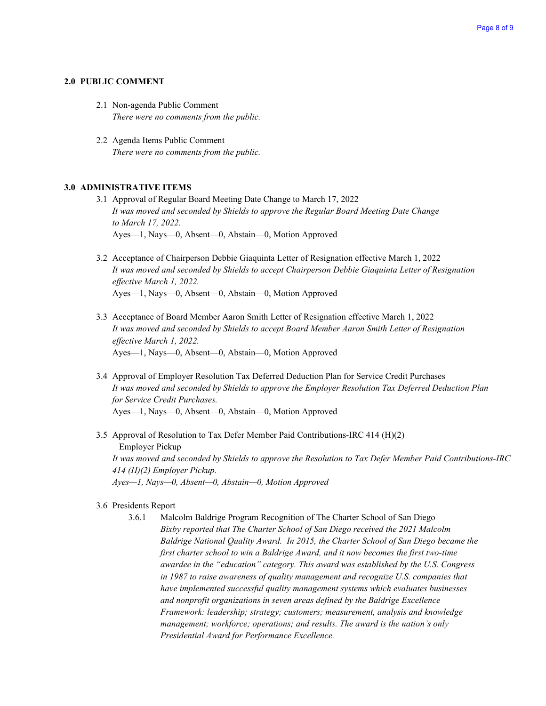### **2.0 PUBLIC COMMENT**

- 2.1 Non-agenda Public Comment *There were no comments from the public.*
- 2.2 Agenda Items Public Comment *There were no comments from the public.*

## **3.0 ADMINISTRATIVE ITEMS**

- 3.1 Approval of Regular Board Meeting Date Change to March 17, 2022 *It was moved and seconded by Shields to approve the Regular Board Meeting Date Change to March 17, 2022.*  Ayes—1, Nays—0, Absent—0, Abstain—0, Motion Approved
- 3.2 Acceptance of Chairperson Debbie Giaquinta Letter of Resignation effective March 1, 2022 *It was moved and seconded by Shields to accept Chairperson Debbie Giaquinta Letter of Resignation effective March 1, 2022.*  Ayes—1, Nays—0, Absent—0, Abstain—0, Motion Approved
- 3.3 Acceptance of Board Member Aaron Smith Letter of Resignation effective March 1, 2022 *It was moved and seconded by Shields to accept Board Member Aaron Smith Letter of Resignation effective March 1, 2022.*  Ayes—1, Nays—0, Absent—0, Abstain—0, Motion Approved
- 3.4 Approval of Employer Resolution Tax Deferred Deduction Plan for Service Credit Purchases *It was moved and seconded by Shields to approve the Employer Resolution Tax Deferred Deduction Plan for Service Credit Purchases.*  Ayes—1, Nays—0, Absent—0, Abstain—0, Motion Approved
- 3.5 Approval of Resolution to Tax Defer Member Paid Contributions-IRC 414 (H)(2) Employer Pickup *It was moved and seconded by Shields to approve the Resolution to Tax Defer Member Paid Contributions-IRC 414 (H)(2) Employer Pickup. Ayes—1, Nays—0, Absent—0, Abstain—0, Motion Approved*

### 3.6 Presidents Report

3.6.1 Malcolm Baldrige Program Recognition of The Charter School of San Diego *Bixby reported that The Charter School of San Diego received the 2021 Malcolm Baldrige National Quality Award. In [2015,](https://www.nist.gov/baldrige/charter-school-san-diego) the Charter School of San Diego became the first charter school to win a Baldrige Award, and it now becomes the first two-time awardee in the "education" category. This award was established by the U.S. Congress in 1987 to raise awareness of quality management and recognize U.S. companies that have implemented successful [quality management systems](https://asq.org/quality-resources/quality-management-system) which evaluates businesses and nonprofit organizations in seven areas defined by the [Baldrige Excellence](https://www.nist.gov/baldrige/publications/baldrige-excellence-framework)  [Framework:](https://www.nist.gov/baldrige/publications/baldrige-excellence-framework) leadership; strategy; customers; measurement, analysis and knowledge management; workforce; operations; and results. The award is the nation's only Presidential Award for Performance Excellence.*